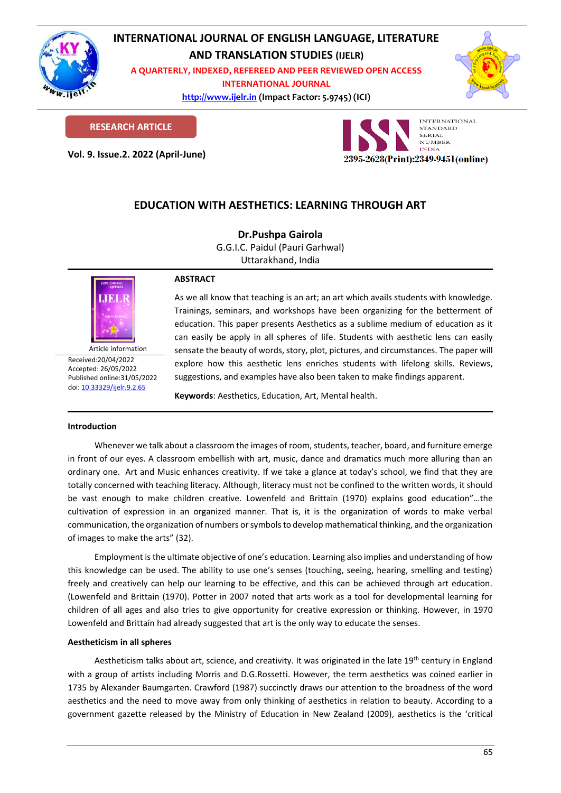

# **INTERNATIONAL JOURNAL OF ENGLISH LANGUAGE, LITERATURE AND TRANSLATION STUDIES (IJELR)**

**A QUARTERLY, INDEXED, REFEREED AND PEER REVIEWED OPEN ACCESS INTERNATIONAL JOURNAL**

> **[http://www.ijelr.in](http://www.ijelr.in/) (Impact Factor: 5.9745) (ICI) KY PUBLICATIONS**



**RESEARCH ARTICLE**

**Vol. 9. Issue.2. 2022 (April-June) ARTICLE**



# **EDUCATION WITH AESTHETICS: LEARNING THROUGH ART**

**Dr.Pushpa Gairola** G.G.I.C. Paidul (Pauri Garhwal) Uttarakhand, India



Received:20/04/2022 Accepted: 26/05/2022 Published online:31/05/2022 [doi: 10.33329/ijelr.9.2.6](http://www.ijelr.in/)5

## **ABSTRACT**

As we all know that teaching is an art; an art which avails students with knowledge. Trainings, seminars, and workshops have been organizing for the betterment of education. This paper presents Aesthetics as a sublime medium of education as it can easily be apply in all spheres of life. Students with aesthetic lens can easily sensate the beauty of words, story, plot, pictures, and circumstances. The paper will explore how this aesthetic lens enriches students with lifelong skills. Reviews, suggestions, and examples have also been taken to make findings apparent.

**Keywords**: Aesthetics, Education, Art, Mental health.

## **Introduction**

Whenever we talk about a classroom the images of room, students, teacher, board, and furniture emerge in front of our eyes. A classroom embellish with art, music, dance and dramatics much more alluring than an ordinary one. Art and Music enhances creativity. If we take a glance at today's school, we find that they are totally concerned with teaching literacy. Although, literacy must not be confined to the written words, it should be vast enough to make children creative. Lowenfeld and Brittain (1970) explains good education"…the cultivation of expression in an organized manner. That is, it is the organization of words to make verbal communication, the organization of numbers or symbols to develop mathematical thinking, and the organization of images to make the arts" (32).

Employment is the ultimate objective of one's education. Learning also implies and understanding of how this knowledge can be used. The ability to use one's senses (touching, seeing, hearing, smelling and testing) freely and creatively can help our learning to be effective, and this can be achieved through art education. (Lowenfeld and Brittain (1970). Potter in 2007 noted that arts work as a tool for developmental learning for children of all ages and also tries to give opportunity for creative expression or thinking. However, in 1970 Lowenfeld and Brittain had already suggested that art is the only way to educate the senses.

# **Aestheticism in all spheres**

Aestheticism talks about art, science, and creativity. It was originated in the late 19<sup>th</sup> century in England with a group of artists including Morris and D.G.Rossetti. However, the term aesthetics was coined earlier in 1735 by Alexander Baumgarten. Crawford (1987) succinctly draws our attention to the broadness of the word aesthetics and the need to move away from only thinking of aesthetics in relation to beauty. According to a government gazette released by the Ministry of Education in New Zealand (2009), aesthetics is the 'critical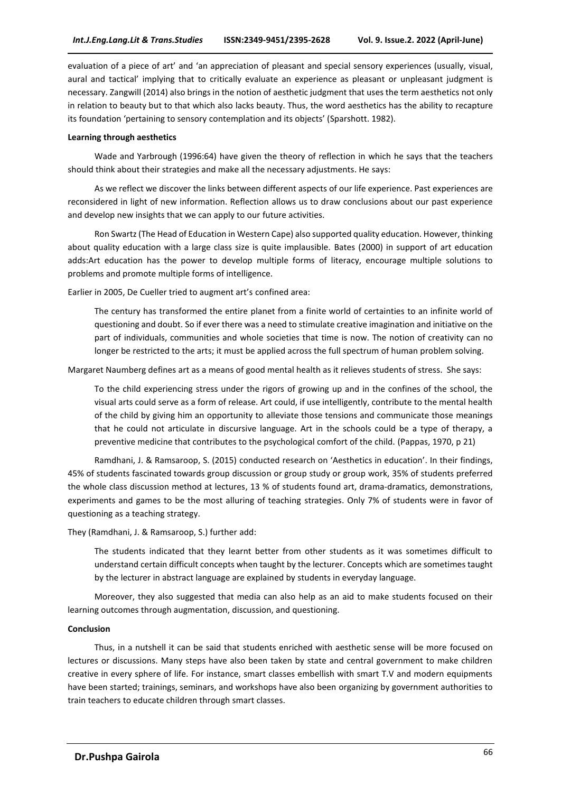evaluation of a piece of art' and 'an appreciation of pleasant and special sensory experiences (usually, visual, aural and tactical' implying that to critically evaluate an experience as pleasant or unpleasant judgment is necessary. Zangwill (2014) also brings in the notion of aesthetic judgment that uses the term aesthetics not only in relation to beauty but to that which also lacks beauty. Thus, the word aesthetics has the ability to recapture its foundation 'pertaining to sensory contemplation and its objects' (Sparshott. 1982).

### **Learning through aesthetics**

Wade and Yarbrough (1996:64) have given the theory of reflection in which he says that the teachers should think about their strategies and make all the necessary adjustments. He says:

As we reflect we discover the links between different aspects of our life experience. Past experiences are reconsidered in light of new information. Reflection allows us to draw conclusions about our past experience and develop new insights that we can apply to our future activities.

Ron Swartz (The Head of Education in Western Cape) also supported quality education. However, thinking about quality education with a large class size is quite implausible. Bates (2000) in support of art education adds:Art education has the power to develop multiple forms of literacy, encourage multiple solutions to problems and promote multiple forms of intelligence.

Earlier in 2005, De Cueller tried to augment art's confined area:

The century has transformed the entire planet from a finite world of certainties to an infinite world of questioning and doubt. So if ever there was a need to stimulate creative imagination and initiative on the part of individuals, communities and whole societies that time is now. The notion of creativity can no longer be restricted to the arts; it must be applied across the full spectrum of human problem solving.

Margaret Naumberg defines art as a means of good mental health as it relieves students of stress. She says:

To the child experiencing stress under the rigors of growing up and in the confines of the school, the visual arts could serve as a form of release. Art could, if use intelligently, contribute to the mental health of the child by giving him an opportunity to alleviate those tensions and communicate those meanings that he could not articulate in discursive language. Art in the schools could be a type of therapy, a preventive medicine that contributes to the psychological comfort of the child. (Pappas, 1970, p 21)

Ramdhani, J. & Ramsaroop, S. (2015) conducted research on 'Aesthetics in education'. In their findings, 45% of students fascinated towards group discussion or group study or group work, 35% of students preferred the whole class discussion method at lectures, 13 % of students found art, drama-dramatics, demonstrations, experiments and games to be the most alluring of teaching strategies. Only 7% of students were in favor of questioning as a teaching strategy.

They (Ramdhani, J. & Ramsaroop, S.) further add:

The students indicated that they learnt better from other students as it was sometimes difficult to understand certain difficult concepts when taught by the lecturer. Concepts which are sometimes taught by the lecturer in abstract language are explained by students in everyday language.

Moreover, they also suggested that media can also help as an aid to make students focused on their learning outcomes through augmentation, discussion, and questioning.

### **Conclusion**

Thus, in a nutshell it can be said that students enriched with aesthetic sense will be more focused on lectures or discussions. Many steps have also been taken by state and central government to make children creative in every sphere of life. For instance, smart classes embellish with smart T.V and modern equipments have been started; trainings, seminars, and workshops have also been organizing by government authorities to train teachers to educate children through smart classes.